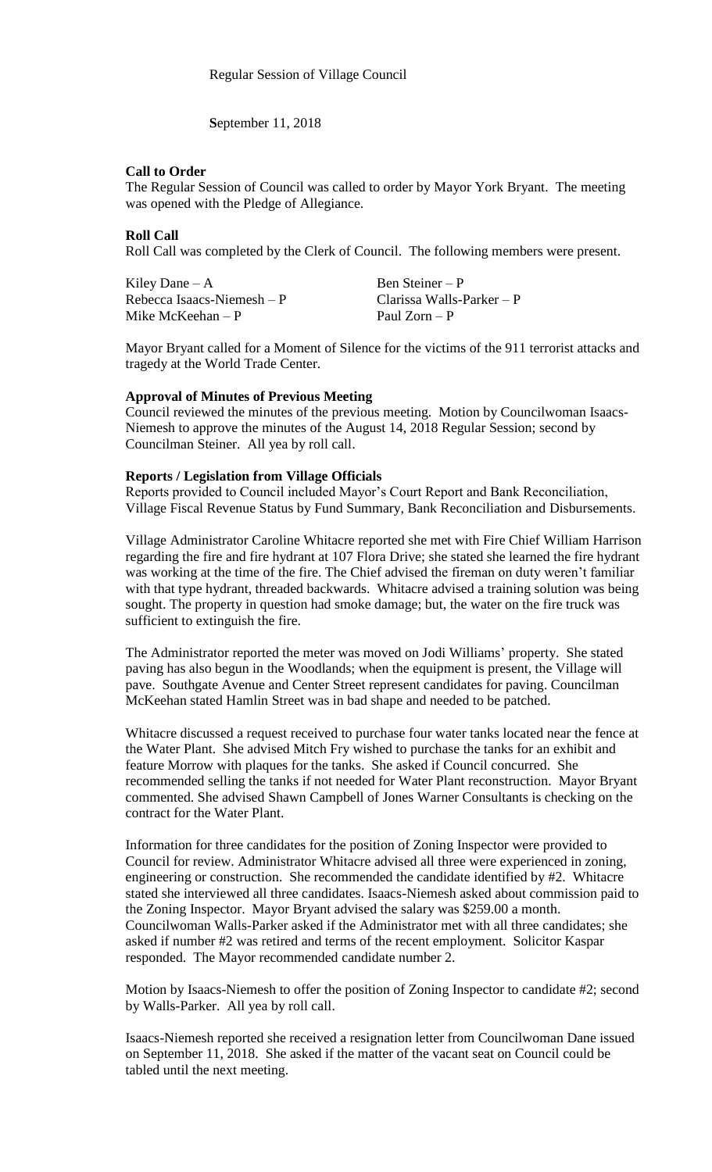**S**eptember 11, 2018

### **Call to Order**

The Regular Session of Council was called to order by Mayor York Bryant. The meeting was opened with the Pledge of Allegiance.

## **Roll Call**

Roll Call was completed by the Clerk of Council. The following members were present.

| Kiley Dane $-A$             | Ben Steiner – P           |
|-----------------------------|---------------------------|
| Rebecca Isaacs-Niemesh $-P$ | Clarissa Walls-Parker – P |
| Mike McKeehan $-P$          | Paul $Zorn - P$           |

Mayor Bryant called for a Moment of Silence for the victims of the 911 terrorist attacks and tragedy at the World Trade Center.

#### **Approval of Minutes of Previous Meeting**

Council reviewed the minutes of the previous meeting. Motion by Councilwoman Isaacs-Niemesh to approve the minutes of the August 14, 2018 Regular Session; second by Councilman Steiner. All yea by roll call.

### **Reports / Legislation from Village Officials**

Reports provided to Council included Mayor's Court Report and Bank Reconciliation, Village Fiscal Revenue Status by Fund Summary, Bank Reconciliation and Disbursements.

Village Administrator Caroline Whitacre reported she met with Fire Chief William Harrison regarding the fire and fire hydrant at 107 Flora Drive; she stated she learned the fire hydrant was working at the time of the fire. The Chief advised the fireman on duty weren't familiar with that type hydrant, threaded backwards. Whitacre advised a training solution was being sought. The property in question had smoke damage; but, the water on the fire truck was sufficient to extinguish the fire.

The Administrator reported the meter was moved on Jodi Williams' property. She stated paving has also begun in the Woodlands; when the equipment is present, the Village will pave. Southgate Avenue and Center Street represent candidates for paving. Councilman McKeehan stated Hamlin Street was in bad shape and needed to be patched.

Whitacre discussed a request received to purchase four water tanks located near the fence at the Water Plant. She advised Mitch Fry wished to purchase the tanks for an exhibit and feature Morrow with plaques for the tanks. She asked if Council concurred. She recommended selling the tanks if not needed for Water Plant reconstruction. Mayor Bryant commented. She advised Shawn Campbell of Jones Warner Consultants is checking on the contract for the Water Plant.

Information for three candidates for the position of Zoning Inspector were provided to Council for review. Administrator Whitacre advised all three were experienced in zoning, engineering or construction. She recommended the candidate identified by #2. Whitacre stated she interviewed all three candidates. Isaacs-Niemesh asked about commission paid to the Zoning Inspector. Mayor Bryant advised the salary was \$259.00 a month. Councilwoman Walls-Parker asked if the Administrator met with all three candidates; she asked if number #2 was retired and terms of the recent employment. Solicitor Kaspar responded. The Mayor recommended candidate number 2.

Motion by Isaacs-Niemesh to offer the position of Zoning Inspector to candidate #2; second by Walls-Parker. All yea by roll call.

Isaacs-Niemesh reported she received a resignation letter from Councilwoman Dane issued on September 11, 2018. She asked if the matter of the vacant seat on Council could be tabled until the next meeting.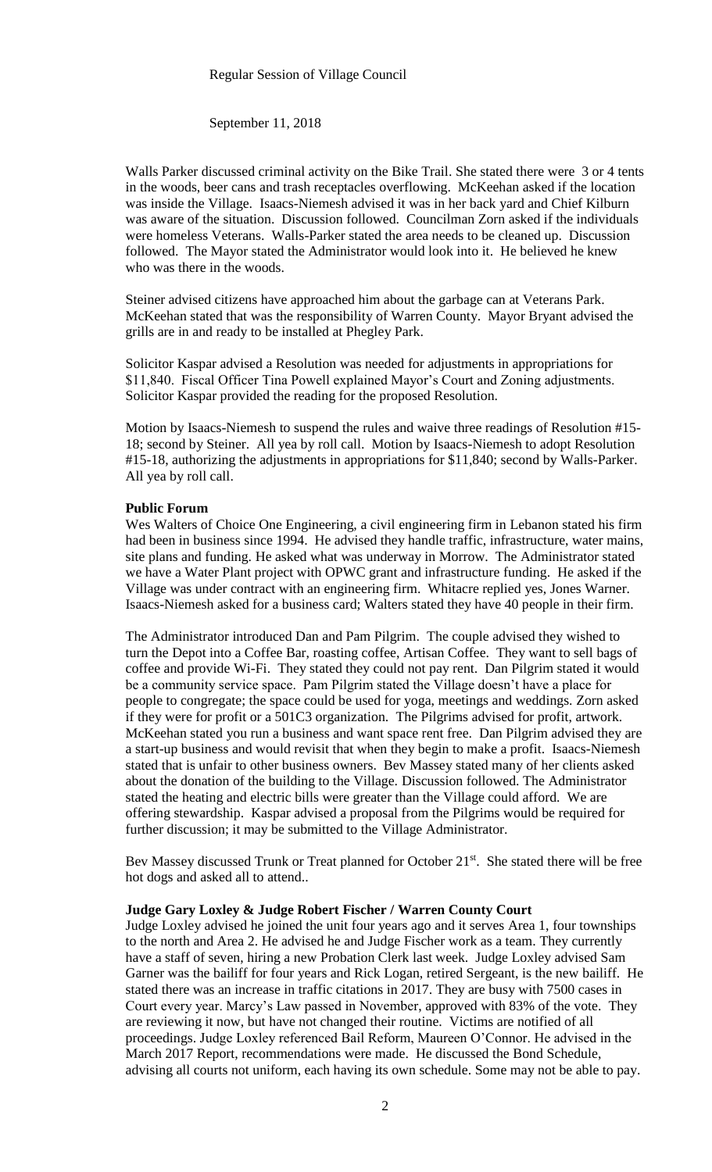### Regular Session of Village Council

# September 11, 2018

Walls Parker discussed criminal activity on the Bike Trail. She stated there were 3 or 4 tents in the woods, beer cans and trash receptacles overflowing. McKeehan asked if the location was inside the Village. Isaacs-Niemesh advised it was in her back yard and Chief Kilburn was aware of the situation. Discussion followed. Councilman Zorn asked if the individuals were homeless Veterans. Walls-Parker stated the area needs to be cleaned up. Discussion followed. The Mayor stated the Administrator would look into it. He believed he knew who was there in the woods.

Steiner advised citizens have approached him about the garbage can at Veterans Park. McKeehan stated that was the responsibility of Warren County. Mayor Bryant advised the grills are in and ready to be installed at Phegley Park.

Solicitor Kaspar advised a Resolution was needed for adjustments in appropriations for \$11,840. Fiscal Officer Tina Powell explained Mayor's Court and Zoning adjustments. Solicitor Kaspar provided the reading for the proposed Resolution.

Motion by Isaacs-Niemesh to suspend the rules and waive three readings of Resolution #15- 18; second by Steiner. All yea by roll call. Motion by Isaacs-Niemesh to adopt Resolution #15-18, authorizing the adjustments in appropriations for \$11,840; second by Walls-Parker. All yea by roll call.

### **Public Forum**

Wes Walters of Choice One Engineering, a civil engineering firm in Lebanon stated his firm had been in business since 1994. He advised they handle traffic, infrastructure, water mains, site plans and funding. He asked what was underway in Morrow. The Administrator stated we have a Water Plant project with OPWC grant and infrastructure funding. He asked if the Village was under contract with an engineering firm. Whitacre replied yes, Jones Warner. Isaacs-Niemesh asked for a business card; Walters stated they have 40 people in their firm.

The Administrator introduced Dan and Pam Pilgrim. The couple advised they wished to turn the Depot into a Coffee Bar, roasting coffee, Artisan Coffee. They want to sell bags of coffee and provide Wi-Fi. They stated they could not pay rent. Dan Pilgrim stated it would be a community service space. Pam Pilgrim stated the Village doesn't have a place for people to congregate; the space could be used for yoga, meetings and weddings. Zorn asked if they were for profit or a 501C3 organization. The Pilgrims advised for profit, artwork. McKeehan stated you run a business and want space rent free. Dan Pilgrim advised they are a start-up business and would revisit that when they begin to make a profit. Isaacs-Niemesh stated that is unfair to other business owners. Bev Massey stated many of her clients asked about the donation of the building to the Village. Discussion followed. The Administrator stated the heating and electric bills were greater than the Village could afford. We are offering stewardship. Kaspar advised a proposal from the Pilgrims would be required for further discussion; it may be submitted to the Village Administrator.

Bev Massey discussed Trunk or Treat planned for October 21<sup>st</sup>. She stated there will be free hot dogs and asked all to attend..

#### **Judge Gary Loxley & Judge Robert Fischer / Warren County Court**

Judge Loxley advised he joined the unit four years ago and it serves Area 1, four townships to the north and Area 2. He advised he and Judge Fischer work as a team. They currently have a staff of seven, hiring a new Probation Clerk last week. Judge Loxley advised Sam Garner was the bailiff for four years and Rick Logan, retired Sergeant, is the new bailiff. He stated there was an increase in traffic citations in 2017. They are busy with 7500 cases in Court every year. Marcy's Law passed in November, approved with 83% of the vote. They are reviewing it now, but have not changed their routine. Victims are notified of all proceedings. Judge Loxley referenced Bail Reform, Maureen O'Connor. He advised in the March 2017 Report, recommendations were made. He discussed the Bond Schedule, advising all courts not uniform, each having its own schedule. Some may not be able to pay.